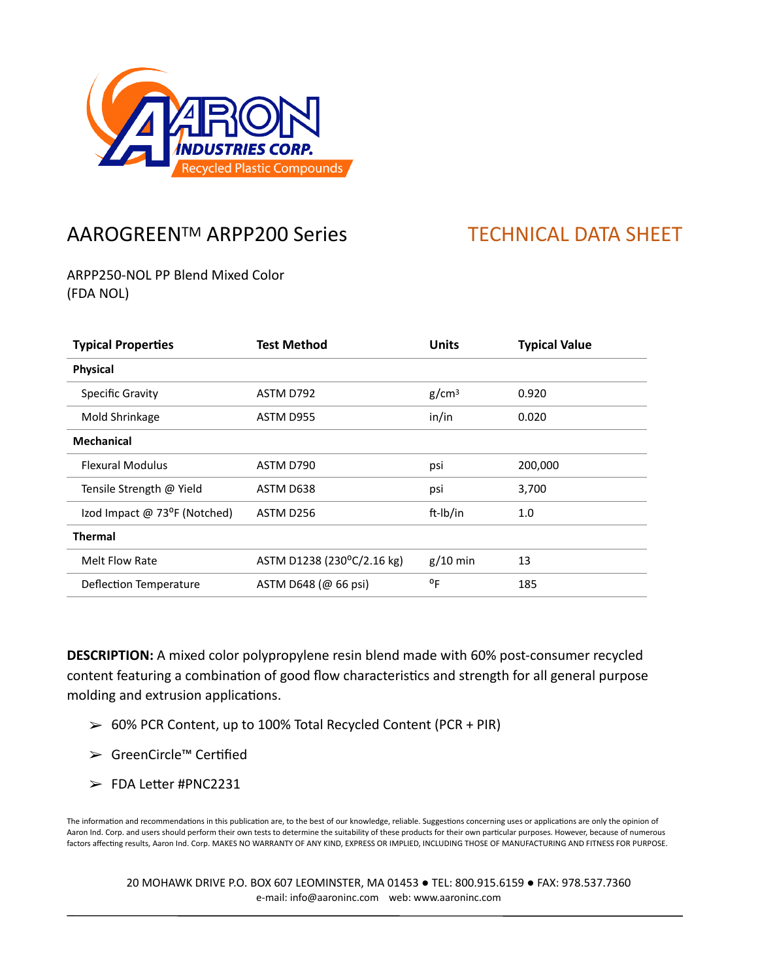

## AAROGREEN™ ARPP200 Series TECHNICAL DATA SHEET

ARPP250-NOL PP Blend Mixed Color (FDA NOL)

| <b>Typical Properties</b>    | <b>Test Method</b>         | <b>Units</b>      | <b>Typical Value</b> |
|------------------------------|----------------------------|-------------------|----------------------|
| <b>Physical</b>              |                            |                   |                      |
| Specific Gravity             | ASTM D792                  | g/cm <sup>3</sup> | 0.920                |
| Mold Shrinkage               | ASTM D955                  | in/in             | 0.020                |
| <b>Mechanical</b>            |                            |                   |                      |
| <b>Flexural Modulus</b>      | ASTM D790                  | psi               | 200,000              |
| Tensile Strength @ Yield     | ASTM D638                  | psi               | 3,700                |
| Izod Impact @ 73°F (Notched) | ASTM D256                  | ft-Ib/in          | 1.0                  |
| <b>Thermal</b>               |                            |                   |                      |
| Melt Flow Rate               | ASTM D1238 (230°C/2.16 kg) | $g/10$ min        | 13                   |
| Deflection Temperature       | ASTM D648 (@ 66 psi)       | °F                | 185                  |

**DESCRIPTION:** A mixed color polypropylene resin blend made with 60% post-consumer recycled content featuring a combination of good flow characteristics and strength for all general purpose molding and extrusion applications.

- $> 60%$  PCR Content, up to 100% Total Recycled Content (PCR + PIR)
- ➢ GreenCircle™ CerPfied
- $\ge$  FDA Letter #PNC2231

The information and recommendations in this publication are, to the best of our knowledge, reliable. Suggestions concerning uses or applications are only the opinion of Aaron Ind. Corp. and users should perform their own tests to determine the suitability of these products for their own particular purposes. However, because of numerous factors affecting results, Aaron Ind. Corp. MAKES NO WARRANTY OF ANY KIND, EXPRESS OR IMPLIED, INCLUDING THOSE OF MANUFACTURING AND FITNESS FOR PURPOSE.

20 MOHAWK DRIVE P.O. BOX 607 LEOMINSTER, MA 01453 ● TEL: 800.915.6159 ● FAX: 978.537.7360 e-mail: info@aaroninc.com web: www.aaroninc.com